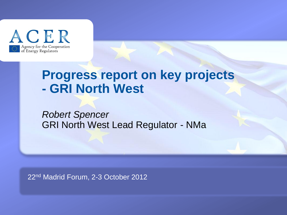

# **Progress report on key projects - GRI North West**

*Robert Spencer* GRI North West Lead Regulator - NMa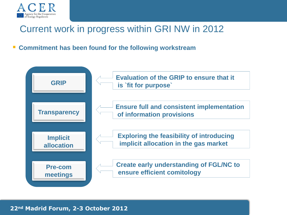

### Current work in progress within GRI NW in 2012

**Commitment has been found for the following workstream**

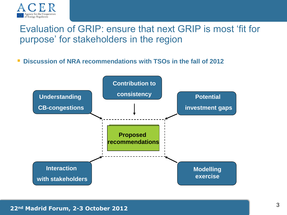

### Evaluation of GRIP: ensure that next GRIP is most 'fit for purpose' for stakeholders in the region

**Discussion of NRA recommendations with TSOs in the fall of 2012**

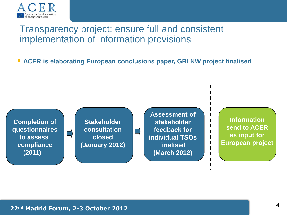

#### Transparency project: ensure full and consistent implementation of information provisions

**ACER is elaborating European conclusions paper, GRI NW project finalised**

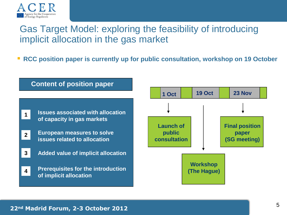

### Gas Target Model: exploring the feasibility of introducing implicit allocation in the gas market

**RCC position paper is currently up for public consultation, workshop on 19 October** 

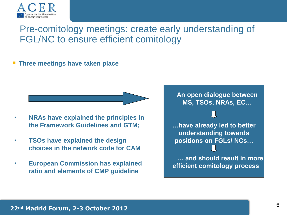

### Pre-comitology meetings: create early understanding of FGL/NC to ensure efficient comitology

#### **Three meetings have taken place**

- **NRAs have explained the principles in the Framework Guidelines and GTM;**
- **TSOs have explained the design choices in the network code for CAM**
- **European Commission has explained ratio and elements of CMP guideline**

**An open dialogue between MS, TSOs, NRAs, EC…**

**…have already led to better understanding towards positions on FGLs/ NCs…**

 **… and should result in more efficient comitology process**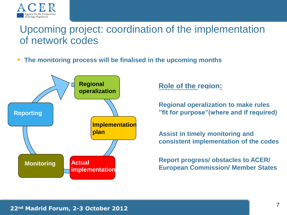

### Upcoming project: coordination of the implementation of network codes

**The monitoring process will be finalised in the upcoming months**



**Role of the region:**

**Regional operalization to make rules "fit for purpose"(where and if required)**

**Assist in timely monitoring and consistent implementation of the codes**

**Report progress/ obstacles to ACER/ European Commission/ Member States**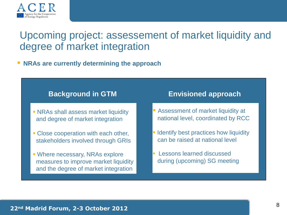

### Upcoming project: assessement of market liquidity and degree of market integration

#### **NRAs are currently determining the approach**

#### **Background in GTM**

- **NRAs shall assess market liquidity** and degree of market integration
- **Close cooperation with each other,** stakeholders involved through GRIs
- Where necessary, NRAs explore measures to improve market liquidity and the degree of market integration

#### **Envisioned approach**

- **Assessment of market liquidity at** national level, coordinated by RCC
- **I** Identify best practices how liquidity can be raised at national level
- **Lessons learned discussed** during (upcoming) SG meeting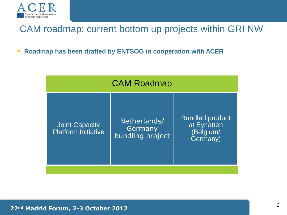

#### CAM roadmap: current bottom up projects within GRI NW

**Roadmap has been drafted by ENTSOG in cooperation with ACER** 

| <b>Bundled product</b><br>Netherlands/<br>at Eynatten<br><b>Joint Capacity</b><br>Germany<br><b>Platform Initiative</b><br>(Belgium/<br>bundling project<br>Germany) |  |
|----------------------------------------------------------------------------------------------------------------------------------------------------------------------|--|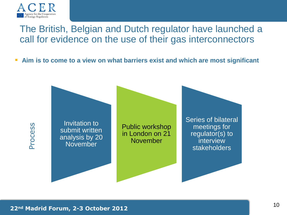

### The British, Belgian and Dutch regulator have launched a call for evidence on the use of their gas interconnectors

**Aim is to come to a view on what barriers exist and which are most significant**